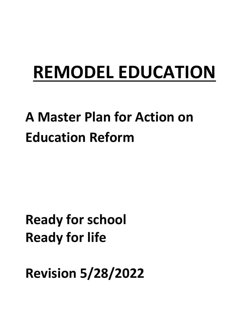# **REMODEL EDUCATION**

## **A Master Plan for Action on Education Reform**

### **Ready for school Ready for life**

**Revision 5/28/2022**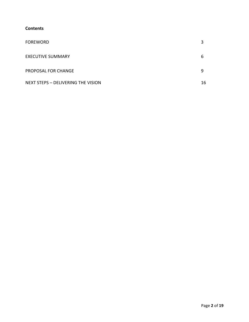#### **Contents**

| <b>FOREWORD</b>                    |    |
|------------------------------------|----|
| <b>EXECUTIVE SUMMARY</b>           | ь  |
| PROPOSAL FOR CHANGE                |    |
| NEXT STEPS - DELIVERING THE VISION | 16 |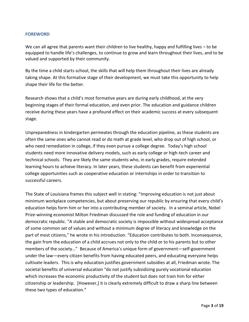#### **FOREWORD**

We can all agree that parents want their children to live healthy, happy and fulfilling lives – to be equipped to handle life's challenges, to continue to grow and learn throughout their lives, and to be valued and supported by their community.

By the time a child starts school, the skills that will help them throughout their lives are already taking shape. At this formative stage of their development, we must take this opportunity to help shape their life for the better.

Research shows that a child's most formative years are during early childhood, at the very beginning stages of their formal education, and even prior. The education and guidance children receive during these years have a profound effect on their academic success at every subsequent stage.

Unpreparedness in kindergarten permeates through the education pipeline, as these students are often the same ones who cannot read or do math at grade level, who drop out of high school, or who need remediation in college, if they even pursue a college degree. Today's high school students need more innovative delivery models, such as early college or high-tech career and technical schools. They are likely the same students who, in early grades, require extended learning hours to achieve literacy. In later years, these students can benefit from experiential college opportunities such as cooperative education or internships in order to transition to successful careers.

The State of Louisiana frames this subject well in stating: "Improving education is not just about minimum workplace competencies, but about preserving our republic by ensuring that every child's education helps form him or her into a contributing member of society. In a seminal article, Nobel Prize-winning economist Milton Friedman discussed the role and funding of education in our democratic republic. "A stable and democratic society is impossible without widespread acceptance of some common set of values and without a minimum degree of literacy and knowledge on the part of most citizens," he wrote in his introduction. "Education contributes to both. Inconsequence, the gain from the education of a child accrues not only to the child or to his parents but to other members of the society…" Because of America's unique form of government—self-government under the law—every citizen benefits from having educated peers, and educating everyone helps cultivate leaders. This is why education justifies government subsidies at all, Friedman wrote. The societal benefits of universal education "do not justify subsidizing purely vocational education which increases the economic productivity of the student but does not train him for either citizenship or leadership. [However,] it is clearly extremely difficult to draw a sharp line between these two types of education."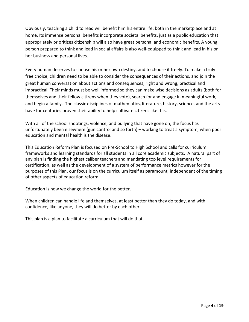Obviously, teaching a child to read will benefit him his entire life, both in the marketplace and at home. Its immense personal benefits incorporate societal benefits, just as a public education that appropriately prioritizes citizenship will also have great personal and economic benefits. A young person prepared to think and lead in social affairs is also well-equipped to think and lead in his or her business and personal lives.

Every human deserves to choose his or her own destiny, and to choose it freely. To make a truly free choice, children need to be able to consider the consequences of their actions, and join the great human conversation about actions and consequences, right and wrong, practical and impractical. Their minds must be well informed so they can make wise decisions as adults (both for themselves and their fellow citizens when they vote), search for and engage in meaningful work, and begin a family. The classic disciplines of mathematics, literature, history, science, and the arts have for centuries proven their ability to help cultivate citizens like this.

With all of the school shootings, violence, and bullying that have gone on, the focus has unfortunately been elsewhere (gun control and so forth) – working to treat a symptom, when poor education and mental health is the disease.

This Education Reform Plan is focused on Pre-School to High School and calls for curriculum frameworks and learning standards for all students in all core academic subjects. A natural part of any plan is finding the highest caliber teachers and mandating top level requirements for certification, as well as the development of a system of performance metrics however for the purposes of this Plan, our focus is on the curriculum itself as paramount, independent of the timing of other aspects of education reform.

Education is how we change the world for the better.

When children can handle life and themselves, at least better than they do today, and with confidence, like anyone, they will do better by each other.

This plan is a plan to facilitate a curriculum that will do that.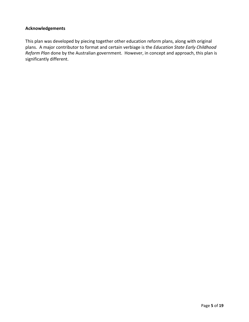#### **Acknowledgements**

This plan was developed by piecing together other education reform plans, along with original plans. A major contributor to format and certain verbiage is the *Education State Early Childhood Reform Plan* done by the Australian government. However, in concept and approach, this plan is significantly different.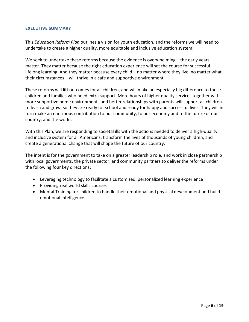#### **EXECUTIVE SUMMARY**

This *Education Reform Plan* outlines a vision for youth education, and the reforms we will need to undertake to create a higher quality, more equitable and inclusive education system.

We seek to undertake these reforms because the evidence is overwhelming – the early years matter. They matter because the right education experience will set the course for successful lifelong learning. And they matter because every child – no matter where they live, no matter what their circumstances – will thrive in a safe and supportive environment.

These reforms will lift outcomes for all children, and will make an especially big difference to those children and families who need extra support. More hours of higher quality services together with more supportive home environments and better relationships with parents will support all children to learn and grow, so they are ready for school and ready for happy and successful lives. They will in turn make an enormous contribution to our community, to our economy and to the future of our country, and the world.

With this Plan, we are responding to societal ills with the actions needed to deliver a high-quality and inclusive system for all Americans, transform the lives of thousands of young children, and create a generational change that will shape the future of our country.

The intent is for the government to take on a greater leadership role, and work in close partnership with local governments, the private sector, and community partners to deliver the reforms under the following four key directions:

- Leveraging technology to facilitate a customized, personalized learning experience
- Providing real world skills courses
- Mental Training for children to handle their emotional and physical development and build emotional intelligence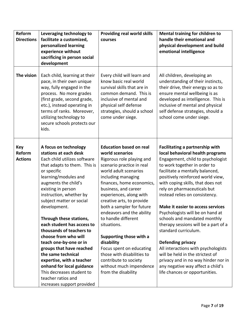| Reform<br><b>Directions</b>            | Leveraging technology to<br>facilitate a customized,<br>personalized learning<br>experience without<br>sacrificing in person social<br>development                                                                                                                                                                                                                                                                                                                                                                                                                                                             | <b>Providing real world skills</b><br>courses                                                                                                                                                                                                                                                                                                                                                                                                                                                                                                         | Mental training for children to<br>handle their emotional and<br>physical development and build<br>emotional intelligence                                                                                                                                                                                                                                                                                                                                                                                                                                                                                                                                                                                            |
|----------------------------------------|----------------------------------------------------------------------------------------------------------------------------------------------------------------------------------------------------------------------------------------------------------------------------------------------------------------------------------------------------------------------------------------------------------------------------------------------------------------------------------------------------------------------------------------------------------------------------------------------------------------|-------------------------------------------------------------------------------------------------------------------------------------------------------------------------------------------------------------------------------------------------------------------------------------------------------------------------------------------------------------------------------------------------------------------------------------------------------------------------------------------------------------------------------------------------------|----------------------------------------------------------------------------------------------------------------------------------------------------------------------------------------------------------------------------------------------------------------------------------------------------------------------------------------------------------------------------------------------------------------------------------------------------------------------------------------------------------------------------------------------------------------------------------------------------------------------------------------------------------------------------------------------------------------------|
| The vision                             | Each child, learning at their<br>pace, in their own unique<br>way, fully engaged in the<br>process. No more grades<br>(first grade, second grade,<br>etc.), instead operating in<br>terms of ranks. Moreover,<br>utilizing technology to<br>secure schools protects our<br>kids.                                                                                                                                                                                                                                                                                                                               | Every child will learn and<br>know basic real world<br>survival skills that are in<br>common demand. This is<br>inclusive of mental and<br>physical self defense<br>strategies, should a school<br>come under siege.                                                                                                                                                                                                                                                                                                                                  | All children, developing an<br>understanding of their instincts,<br>their drive, their energy so as to<br>ensure mental wellbeing is as<br>developed as intelligence. This is<br>inclusive of mental and physical<br>self defense strategies, should a<br>school come under siege.                                                                                                                                                                                                                                                                                                                                                                                                                                   |
| <b>Key</b><br>Reform<br><b>Actions</b> | A focus on technology<br>stations at each desk<br>Each child utilizes software<br>that adapts to them. This is<br>or specific<br>learning/modules and<br>augments the child's<br>existing in person<br>instruction, whether by<br>subject matter or social<br>development.<br>Through these stations,<br>each student has access to<br>thousands of teachers to<br>choose from who will<br>teach one-by-one or in<br>groups that have reached<br>the same technical<br>expertise, with a teacher<br>onhand for local guidance<br>This decreases student to<br>teacher ratios and<br>increases support provided | <b>Education based on real</b><br>world scenarios<br>Rigorous role playing and<br>scenario practice in real<br>world adult scenarios<br>including managing<br>finances, home economics,<br>business, and career<br>experiences, along with<br>creative arts, to provide<br>both a sampler for future<br>endeavors and the ability<br>to handle different<br>situations.<br>Supporting those with a<br>disability<br>Focus spent on educating<br>those with disabilities to<br>contribute to society<br>without much impendence<br>from the disability | Facilitating a partnership with<br>local behavioral health programs<br>Engagement, child to psychologist<br>to work together in order to<br>facilitate a mentally balanced,<br>positively reinforced world view,<br>with coping skills, that does not<br>rely on pharmaceuticals but<br>instead relies on consistency.<br>Make it easier to access services<br>Psychologists will be on hand at<br>schools and mandated monthly<br>therapy sessions will be a part of a<br>standard curriculum.<br><b>Defending privacy</b><br>All interactions with psychologists<br>will be held in the strictest of<br>privacy and in no way hinder nor in<br>any negative way affect a child's<br>life chances or opportunities. |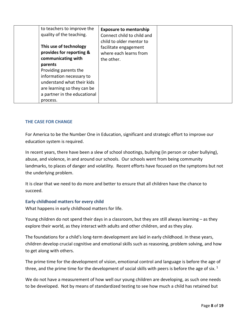| to teachers to improve the<br>quality of the teaching.      | <b>Exposure to mentorship</b><br>Connect child to child and<br>child to older mentor to |
|-------------------------------------------------------------|-----------------------------------------------------------------------------------------|
| This use of technology<br>provides for reporting &          | facilitate engagement<br>where each learns from                                         |
| communicating with<br>parents                               | the other.                                                                              |
| Providing parents the<br>information necessary to           |                                                                                         |
| understand what their kids                                  |                                                                                         |
| are learning so they can be<br>a partner in the educational |                                                                                         |
| process.                                                    |                                                                                         |

#### **THE CASE FOR CHANGE**

For America to be the Number One in Education, significant and strategic effort to improve our education system is required.

In recent years, there have been a slew of school shootings, bullying (in person or cyber bullying), abuse, and violence, in and around our schools. Our schools went from being community landmarks, to places of danger and volatility. Recent efforts have focused on the symptoms but not the underlying problem.

It is clear that we need to do more and better to ensure that all children have the chance to succeed.

#### **Early childhood matters for every child**

What happens in early childhood matters for life.

Young children do not spend their days in a classroom, but they are still always learning – as they explore their world, as they interact with adults and other children, and as they play.

The foundations for a child's long-term development are laid in early childhood. In these years, children develop crucial cognitive and emotional skills such as reasoning, problem solving, and how to get along with others.

The prime time for the development of vision, emotional control and language is before the age of three, and the prime time for the development of social skills with peers is before the age of six.  $1$ 

We do not have a measurement of how well our young children are developing, as such one needs to be developed. Not by means of standardized testing to see how much a child has retained but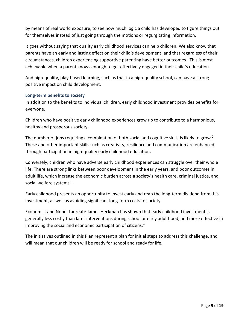by means of real world exposure, to see how much logic a child has developed to figure things out for themselves instead of just going through the motions or regurgitating information.

It goes without saying that quality early childhood services can help children. We also know that parents have an early and lasting effect on their child's development, and that regardless of their circumstances, children experiencing supportive parenting have better outcomes. This is most achievable when a parent knows enough to get effectively engaged in their child's education.

And high-quality, play-based learning, such as that in a high-quality school, can have a strong positive impact on child development.

#### **Long-term benefits to society**

In addition to the benefits to individual children, early childhood investment provides benefits for everyone.

Children who have positive early childhood experiences grow up to contribute to a harmonious, healthy and prosperous society.

The number of jobs requiring a combination of both social and cognitive skills is likely to grow.<sup>2</sup> These and other important skills such as creativity, resilience and communication are enhanced through participation in high-quality early childhood education.

Conversely, children who have adverse early childhood experiences can struggle over their whole life. There are strong links between poor development in the early years, and poor outcomes in adult life, which increase the economic burden across a society's health care, criminal justice, and social welfare systems.<sup>3</sup>

Early childhood presents an opportunity to invest early and reap the long-term dividend from this investment, as well as avoiding significant long-term costs to society.

Economist and Nobel Laureate James Heckman has shown that early childhood investment is generally less costly than later interventions during school or early adulthood, and more effective in improving the social and economic participation of citizens.<sup>4</sup>

The initiatives outlined in this Plan represent a plan for initial steps to address this challenge, and will mean that our children will be ready for school and ready for life.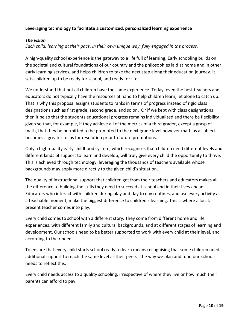#### **Leveraging technology to facilitate a customized, personalized learning experience**

#### *The vision*

*Each child, learning at their pace, in their own unique way, fully engaged in the process.*

A high-quality school experience is the gateway to a life full of learning. Early schooling builds on the societal and cultural foundations of our country and the philosophies laid at home and in other early learning services, and helps children to take the next step along their education journey. It sets children up to be ready for school, and ready for life.

We understand that not all children have the same experience. Today, even the best teachers and educators do not typically have the resources at hand to help children learn, let alone to catch up. That is why this proposal assigns students to ranks in terms of progress instead of rigid class designations such as first grade, second grade, and so on. Or if we kept with class designations then it be so that the students educational progress remains individualized and there be flexibility given so that, for example, if they achieve all of the metrics of a third grader, except a grasp of math, that they be permitted to be promoted to the next grade level however math as a subject becomes a greater focus for resolution prior to future promotions.

Only a high-quality early childhood system, which recognises that children need different levels and different kinds of support to learn and develop, will truly give every child the opportunity to thrive. This is achieved through technology, leveraging the thousands of teachers available whose backgrounds may apply more directly to the given child's situation.

The quality of instructional support that children get from their teachers and educators makes all the difference to building the skills they need to succeed at school and in their lives ahead. Educators who interact with children during play and day to day routines, and use every activity as a teachable moment, make the biggest difference to children's learning. This is where a local, present teacher comes into play.

Every child comes to school with a different story. They come from different home and life experiences, with different family and cultural backgrounds, and at different stages of learning and development. Our schools need to be better supported to work with every child at their level, and according to their needs.

To ensure that every child starts school ready to learn means recognising that some children need additional support to reach the same level as their peers. The way we plan and fund our schools needs to reflect this.

Every child needs access to a quality schooling, irrespective of where they live or how much their parents can afford to pay.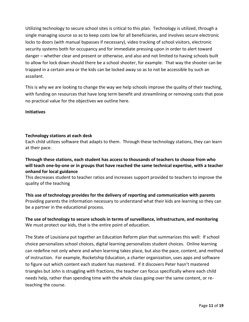Utilizing technology to secure school sites is critical to this plan. Technology is utilized, through a single managing source so as to keep costs low for all beneficiaries, and involves secure electronic locks to doors (with manual bypasses if necessary), video tracking of school visitors, electronic security systems both for occupancy and for immediate pressing upon in order to alert toward danger – whether clear and present or otherwise, and also and not limited to having schools built to allow for lock down should there be a school shooter, for example. That way the shooter can be trapped in a certain area or the kids can be locked away so as to not be accessible by such an assailant.

This is why we are looking to change the way we help schools improve the quality of their teaching, with funding on resources that have long term benefit and streamlining or removing costs that pose no practical value for the objectives we outline here.

#### **Initiatives**

#### **Technology stations at each desk**

Each child utilizes software that adapts to them. Through these technology stations, they can learn at their pace.

#### **Through these stations, each student has access to thousands of teachers to choose from who will teach one-by-one or in groups that have reached the same technical expertise, with a teacher onhand for local guidance**

This decreases student to teacher ratios and increases support provided to teachers to improve the quality of the teaching

**This use of technology provides for the delivery of reporting and communication with parents** Providing parents the information necessary to understand what their kids are learning so they can be a partner in the educational process.

**The use of technology to secure schools in terms of surveillance, infrastructure, and monitoring** We must protect our kids, that is the entire point of education.

The State of Louisiana put together an Education Reform plan that summarizes this well: If school choice personalizes school choices, digital learning personalizes student choices. Online learning can redefine not only where and when learning takes place, but also the pace, content, and method of instruction. For example, Rocketship Education, a charter organization, uses apps and software to figure out which content each student has mastered. If it discovers Peter hasn't mastered triangles but John is struggling with fractions, the teacher can focus specifically where each child needs help, rather than spending time with the whole class going over the same content, or reteaching the course.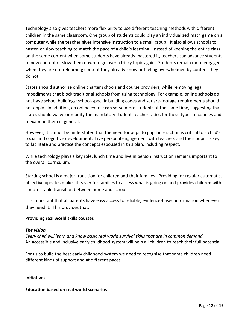Technology also gives teachers more flexibility to use different teaching methods with different children in the same classroom. One group of students could play an individualized math game on a computer while the teacher gives intensive instruction to a small group. It also allows schools to hasten or slow teaching to match the pace of a child's learning. Instead of keeping the entire class on the same content when some students have already mastered it, teachers can advance students to new content or slow them down to go over a tricky topic again. Students remain more engaged when they are not relearning content they already know or feeling overwhelmed by content they do not.

States should authorize online charter schools and course providers, while removing legal impediments that block traditional schools from using technology. For example, online schools do not have school buildings; school-specific building codes and square-footage requirements should not apply. In addition, an online course can serve more students at the same time, suggesting that states should waive or modify the mandatory student-teacher ratios for these types of courses and reexamine them in general.

However, it cannot be understated that the need for pupil to pupil interaction is critical to a child's social and cognitive development. Live personal engagement with teachers and their pupils is key to facilitate and practice the concepts espoused in this plan, including respect.

While technology plays a key role, lunch time and live in person instruction remains important to the overall curriculum.

Starting school is a major transition for children and their families. Providing for regular automatic, objective updates makes it easier for families to access what is going on and provides children with a more stable transition between home and school.

It is important that all parents have easy access to reliable, evidence-based information whenever they need it. This provides that.

#### **Providing real world skills courses**

#### *The vision*

*Every child will learn and know basic real world survival skills that are in common demand.* An accessible and inclusive early childhood system will help all children to reach their full potential.

For us to build the best early childhood system we need to recognise that some children need different kinds of support and at different paces.

#### **Initiatives**

#### **Education based on real world scenarios**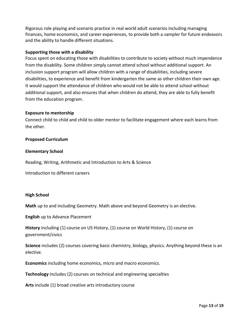Rigorous role playing and scenario practice in real world adult scenarios including managing finances, home economics, and career experiences, to provide both a sampler for future endeavors and the ability to handle different situations.

#### **Supporting those with a disability**

Focus spent on educating those with disabilities to contribute to society without much impendence from the disability. Some children simply cannot attend school without additional support. An inclusion support program will allow children with a range of disabilities, including severe disabilities, to experience and benefit from kindergarten the same as other children their own age. It would support the attendance of children who would not be able to attend school without additional support, and also ensures that when children do attend, they are able to fully benefit from the education program.

#### **Exposure to mentorship**

Connect child to child and child to older mentor to facilitate engagement where each learns from the other.

#### **Proposed Curriculum**

#### **Elementary School**

Reading, Writing, Arithmetic and Introduction to Arts & Science

Introduction to different careers

#### **High School**

**Math** up to and including Geometry. Math above and beyond Geometry is an elective.

**English** up to Advance Placement

**History** including (1) course on US History, (1) course on World History, (1) course on government/civics

**Science** includes (2) courses covering basic chemistry, biology, physics. Anything beyond these is an elective.

**Economics** including home economics, micro and macro economics.

**Technology** includes (2) courses on technical and engineering specialties

**Arts** include (1) broad creative arts introductory course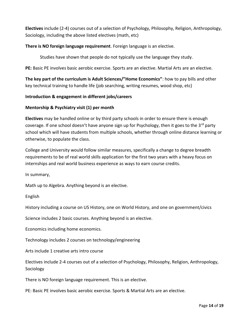**Electives** include (2-4) courses out of a selection of Psychology, Philosophy, Religion, Anthropology, Sociology, including the above listed electives (math, etc)

**There is NO foreign language requirement**. Foreign language is an elective.

Studies have shown that people do not typically use the language they study.

**PE:** Basic PE involves basic aerobic exercise. Sports are an elective. Martial Arts are an elective.

**The key part of the curriculum is Adult Sciences/"Home Economics"**: how to pay bills and other key technical training to handle life (job searching, writing resumes, wood shop, etc)

#### **Introduction & engagement in different jobs/careers**

#### **Mentorship & Psychiatry visit (1) per month**

**Electives** may be handled online or by third party schools in order to ensure there is enough coverage. If one school doesn't have anyone sign up for Psychology, then it goes to the 3<sup>rd</sup> party school which will have students from multiple schools, whether through online distance learning or otherwise, to populate the class.

College and University would follow similar measures, specifically a change to degree breadth requirements to be of real world skills application for the first two years with a heavy focus on internships and real world business experience as ways to earn course credits.

In summary,

Math up to Algebra. Anything beyond is an elective.

English

History including a course on US History, one on World History, and one on government/civics

Science includes 2 basic courses. Anything beyond is an elective.

Economics including home economics.

Technology includes 2 courses on technology/engineering

Arts include 1 creative arts intro course

Electives include 2-4 courses out of a selection of Psychology, Philosophy, Religion, Anthropology, Sociology

There is NO foreign language requirement. This is an elective.

PE: Basic PE involves basic aerobic exercise. Sports & Martial Arts are an elective.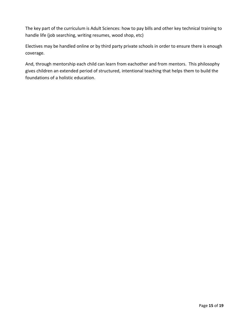The key part of the curriculum is Adult Sciences: how to pay bills and other key technical training to handle life (job searching, writing resumes, wood shop, etc)

Electives may be handled online or by third party private schools in order to ensure there is enough coverage.

And, through mentorship each child can learn from eachother and from mentors. This philosophy gives children an extended period of structured, intentional teaching that helps them to build the foundations of a holistic education.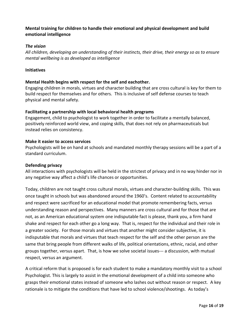#### **Mental training for children to handle their emotional and physical development and build emotional intelligence**

#### *The vision*

*All children, developing an understanding of their instincts, their drive, their energy so as to ensure mental wellbeing is as developed as intelligence*

#### **Initiatives**

#### **Mental Health begins with respect for the self and eachother.**

Engaging children in morals, virtues and character building that are cross cultural is key for them to build respect for themselves and for others. This is inclusive of self defense courses to teach physical and mental safety.

#### **Facilitating a partnership with local behavioral health programs**

Engagement, child to psychologist to work together in order to facilitate a mentally balanced, positively reinforced world view, and coping skills, that does not rely on pharmaceuticals but instead relies on consistency.

#### **Make it easier to access services**

Psychologists will be on hand at schools and mandated monthly therapy sessions will be a part of a standard curriculum.

#### **Defending privacy**

All interactions with psychologists will be held in the strictest of privacy and in no way hinder nor in any negative way affect a child's life chances or opportunities.

Today, children are not taught cross cultural morals, virtues and character-building skills. This was once taught in schools but was abandoned around the 1960's. Content related to accountability and respect were sacrificed for an educational model that promote remembering facts, versus understanding reason and perspectives. Many manners are cross cultural and for those that are not, as an American educational system one indisputable fact is please, thank you, a firm hand shake and respect for each other go a long way. That is, respect for the individual and their role in a greater society. For those morals and virtues that another might consider subjective, it is indisputable that morals and virtues that teach respect for the self and the other person are the same that bring people from different walks of life, political orientations, ethnic, racial, and other groups together, versus apart. That, is how we solve societal issues--- a discussion, with mutual respect, versus an argument.

A critical reform that is proposed is for each student to make a mandatory monthly visit to a school Psychologist. This is largely to assist in the emotional development of a child into someone who grasps their emotional states instead of someone who lashes out without reason or respect. A key rationale is to mitigate the conditions that have led to school violence/shootings. As today's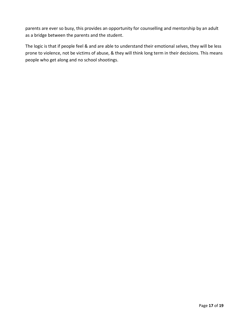parents are ever so busy, this provides an opportunity for counselling and mentorship by an adult as a bridge between the parents and the student.

The logic is that if people feel & and are able to understand their emotional selves, they will be less prone to violence, not be victims of abuse, & they will think long term in their decisions. This means people who get along and no school shootings.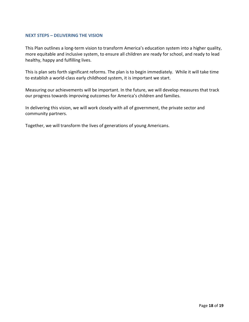#### **NEXT STEPS – DELIVERING THE VISION**

This Plan outlines a long-term vision to transform America's education system into a higher quality, more equitable and inclusive system, to ensure all children are ready for school, and ready to lead healthy, happy and fulfilling lives.

This is plan sets forth significant reforms. The plan is to begin immediately. While it will take time to establish a world-class early childhood system, it is important we start.

Measuring our achievements will be important. In the future, we will develop measures that track our progress towards improving outcomes for America's children and families.

In delivering this vision, we will work closely with all of government, the private sector and community partners.

Together, we will transform the lives of generations of young Americans.